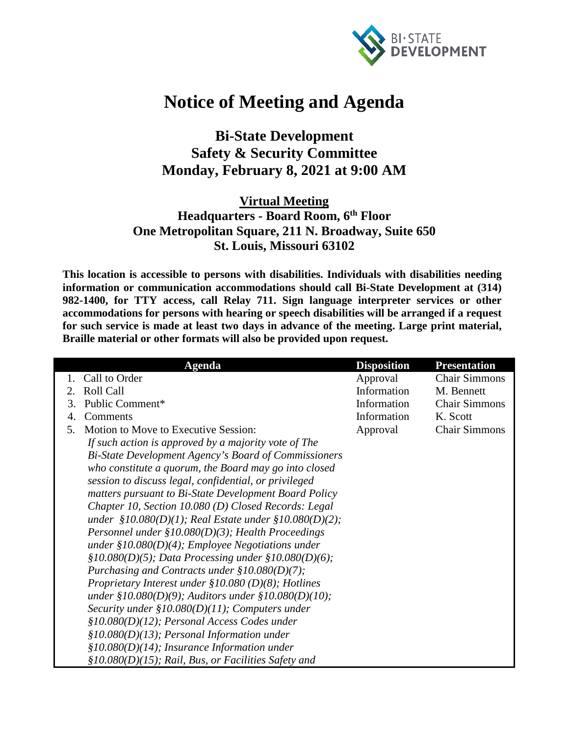

## **Notice of Meeting and Agenda**

## **Bi-State Development Safety & Security Committee Monday, February 8, 2021 at 9:00 AM**

## **Virtual Meeting Headquarters - Board Room, 6th Floor One Metropolitan Square, 211 N. Broadway, Suite 650 St. Louis, Missouri 63102**

**This location is accessible to persons with disabilities. Individuals with disabilities needing information or communication accommodations should call Bi-State Development at (314) 982-1400, for TTY access, call Relay 711. Sign language interpreter services or other accommodations for persons with hearing or speech disabilities will be arranged if a request for such service is made at least two days in advance of the meeting. Large print material, Braille material or other formats will also be provided upon request.**

|                        | <b>Agenda</b>                                               | <b>Disposition</b> | <b>Presentation</b>  |
|------------------------|-------------------------------------------------------------|--------------------|----------------------|
|                        | Call to Order                                               | Approval           | <b>Chair Simmons</b> |
| $\mathcal{D}_{\alpha}$ | <b>Roll Call</b>                                            | Information        | M. Bennett           |
| 3.                     | Public Comment*                                             | Information        | <b>Chair Simmons</b> |
| 4.                     | Comments                                                    | Information        | K. Scott             |
| 5.                     | Motion to Move to Executive Session:                        | Approval           | <b>Chair Simmons</b> |
|                        | If such action is approved by a majority vote of The        |                    |                      |
|                        | Bi-State Development Agency's Board of Commissioners        |                    |                      |
|                        | who constitute a quorum, the Board may go into closed       |                    |                      |
|                        | session to discuss legal, confidential, or privileged       |                    |                      |
|                        | matters pursuant to Bi-State Development Board Policy       |                    |                      |
|                        | Chapter 10, Section 10.080 (D) Closed Records: Legal        |                    |                      |
|                        | under $$10.080(D)(1)$ ; Real Estate under $$10.080(D)(2)$ ; |                    |                      |
|                        | Personnel under $$10.080(D)(3)$ ; Health Proceedings        |                    |                      |
|                        | under $$10.080(D)(4);$ Employee Negotiations under          |                    |                      |
|                        | $$10.080(D)(5);$ Data Processing under $$10.080(D)(6);$     |                    |                      |
|                        | Purchasing and Contracts under $$10.080(D)(7);$             |                    |                      |
|                        | Proprietary Interest under $$10.080(D)(8)$ ; Hotlines       |                    |                      |
|                        | under §10.080(D)(9); Auditors under §10.080(D)(10);         |                    |                      |
|                        | Security under $$10.080(D)(11)$ ; Computers under           |                    |                      |
|                        | $$10.080(D)(12)$; Personal Access Codes under$              |                    |                      |
|                        | $$10.080(D)(13);$ Personal Information under                |                    |                      |
|                        | §10.080(D)(14); Insurance Information under                 |                    |                      |
|                        | $$10.080(D)(15)$ ; Rail, Bus, or Facilities Safety and      |                    |                      |